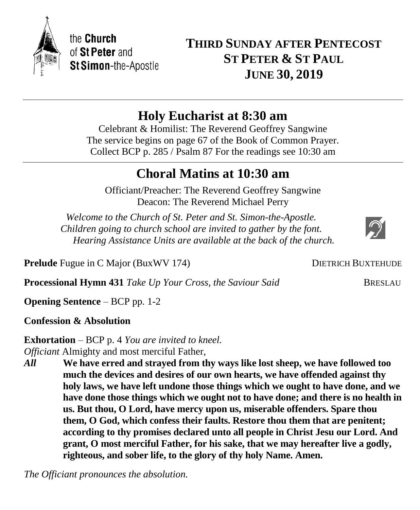**THIRD SUNDAY AFTER PENTECOST ST PETER & ST PAUL JUNE 30, 2019**

# **Holy Eucharist at 8:30 am**

Celebrant & Homilist: The Reverend Geoffrey Sangwine The service begins on page 67 of the Book of Common Prayer. Collect BCP p. 285 / Psalm 87 For the readings see 10:30 am

# **Choral Matins at 10:30 am**

Officiant/Preacher: The Reverend Geoffrey Sangwine Deacon: The Reverend Michael Perry

*Welcome to the Church of St. Peter and St. Simon-the-Apostle. Children going to church school are invited to gather by the font. Hearing Assistance Units are available at the back of the church.*

**Prelude** Fugue in C Major (BuxWV 174) DIETRICH BUXTEHUDE

**Processional Hymn 431** *Take Up Your Cross, the Saviour Said* BRESLAU

**Opening Sentence** – BCP pp. 1-2

**Confession & Absolution**

**Exhortation** – BCP p. 4 *You are invited to kneel. Officiant* Almighty and most merciful Father,

*All* **We have erred and strayed from thy ways like lost sheep, we have followed too much the devices and desires of our own hearts, we have offended against thy holy laws, we have left undone those things which we ought to have done, and we have done those things which we ought not to have done; and there is no health in us. But thou, O Lord, have mercy upon us, miserable offenders. Spare thou them, O God, which confess their faults. Restore thou them that are penitent; according to thy promises declared unto all people in Christ Jesu our Lord. And grant, O most merciful Father, for his sake, that we may hereafter live a godly, righteous, and sober life, to the glory of thy holy Name. Amen.**

*The Officiant pronounces the absolution.*

the Church of St Peter and **St Simon-the-Apostle**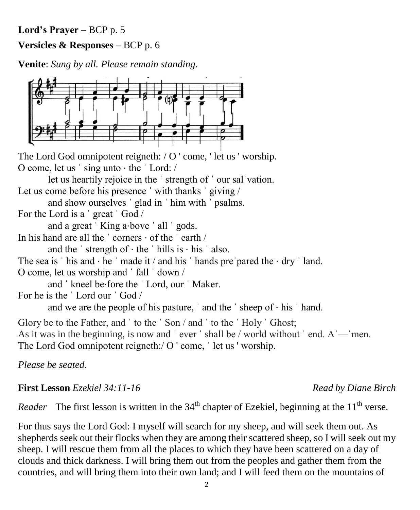*Reader* The first lesson is written in the  $34<sup>th</sup>$  chapter of Ezekiel, beginning at the  $11<sup>th</sup>$  verse. For thus says the Lord God: I myself will search for my sheep, and will seek them out. As shepherds seek out their flocks when they are among their scattered sheep, so I will seek out my sheep. I will rescue them from all the places to which they have been scattered on a day of clouds and thick darkness. I will bring them out from the peoples and gather them from the

2

As it was in the beginning, is now and 'ever' shall be / world without ' end.  $A'$ — 'men.

The Lord God omnipotent reigneth:/ O ' come, ' let us ' worship.

*Please be seated.*

Glory be to the Father, and 'to the 'Son / and 'to the 'Holy 'Ghost;

let us heartily rejoice in the ˈ strength of ˈ our salˈvation.

Let us come before his presence ' with thanks ' giving / and show ourselves ˈ glad in ˈ him with ˈ psalms.

The Lord God omnipotent reigneth: / O ' come, ' let us ' worship.

**Lord's Prayer –** BCP p. 5

**Versicles & Responses –** BCP p. 6

**Venite**: *Sung by all. Please remain standing.*

For the Lord is a ˈ great ˈ God /

O come, let us ˈ sing unto ⋅ the ˈ Lord: /

and a great 'King a⋅bove ' all ' gods.

In his hand are all the ˈ corners ⋅ of the ˈ earth /

and the  $\cdot$  strength of  $\cdot$  the  $\cdot$  hills is  $\cdot$  his  $\cdot$  also. The sea is ' his and  $\cdot$  he ' made it / and his ' hands pre' pared the  $\cdot$  dry ' land.

O come, let us worship and ˈ fall ˈ down /

and ˈ kneel be⋅fore the ˈ Lord, our ˈ Maker.

For he is the ˈ Lord our ˈ God /

and we are the people of his pasture,  $\alpha$  and the  $\beta$  sheep of  $\alpha$  his  $\beta$  hand.

# **First Lesson** *Ezekiel 34:11-16 Read by Diane Birch*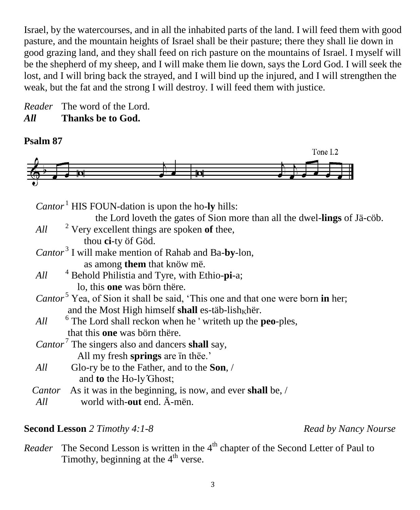Israel, by the watercourses, and in all the inhabited parts of the land. I will feed them with good pasture, and the mountain heights of Israel shall be their pasture; there they shall lie down in good grazing land, and they shall feed on rich pasture on the mountains of Israel. I myself will be the shepherd of my sheep, and I will make them lie down, says the Lord God. I will seek the lost, and I will bring back the strayed, and I will bind up the injured, and I will strengthen the weak, but the fat and the strong I will destroy. I will feed them with justice.

*Reader* The word of the Lord. *All* **Thanks be to God.**

### **Psalm 87**



*Cantor*<sup>1</sup> HIS FOUN-dation is upon the ho-**ly** hills:

the Lord loveth the gates of Sion more than all the dwel-**lings** of Jä-cöb.

- $All$  <sup>2</sup> Very excellent things are spoken of thee, thou **ci**-ty öf Göd.
- *Cantor* <sup>3</sup> I will make mention of Rahab and Ba-**by**-lon,
	- as among **them** that knöw më.
- *All* <sup>4</sup> Behold Philistia and Tyre, with Ethio-**pi**-a; lo, this **one** was börn thëre.
- *Cantor* <sup>5</sup> Yea, of Sion it shall be said, 'This one and that one were born **in** her; and the Most High himself **shall** es-täb-lish<sub>K</sub>hër.
- *All* The Lord shall reckon when he ' writeth up the **peo**-ples, that this **one** was börn thëre.
- *Cantor* <sup>7</sup> The singers also and dancers **shall** say, All my fresh **springs** are ïn thëe.'
- *All* Glo-ry be to the Father, and to the **Son**, / and **to** the Ho-ly *Ghost*;
- *Cantor*As it was in the beginning, is now, and ever **shall** be, /
- *All* world with-**out** end. Ä-mën.

### **Second Lesson** *2 Timothy 4:1-8 Read by Nancy Nourse*

*Reader* The Second Lesson is written in the 4<sup>th</sup> chapter of the Second Letter of Paul to Timothy, beginning at the  $4<sup>th</sup>$  verse.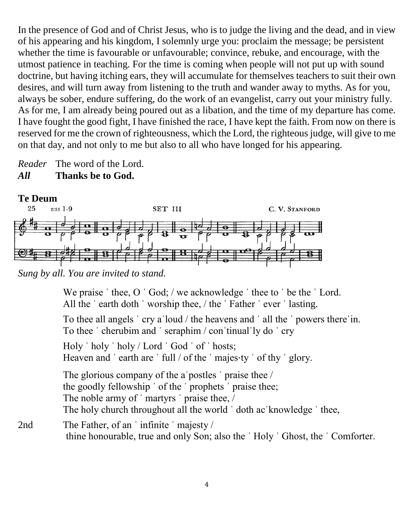In the presence of God and of Christ Jesus, who is to judge the living and the dead, and in view of his appearing and his kingdom, I solemnly urge you: proclaim the message; be persistent whether the time is favourable or unfavourable; convince, rebuke, and encourage, with the utmost patience in teaching. For the time is coming when people will not put up with sound doctrine, but having itching ears, they will accumulate for themselves teachers to suit their own desires, and will turn away from listening to the truth and wander away to myths. As for you, always be sober, endure suffering, do the work of an evangelist, carry out your ministry fully. As for me, I am already being poured out as a libation, and the time of my departure has come. I have fought the good fight, I have finished the race, I have kept the faith. From now on there is reserved for me the crown of righteousness, which the Lord, the righteous judge, will give to me on that day, and not only to me but also to all who have longed for his appearing.

*Reader* The word of the Lord. *All* **Thanks be to God.**



*Sung by all. You are invited to stand.*

We praise 'thee, O 'God; / we acknowledge 'thee to 'be the 'Lord. All the 'earth doth 'worship thee, / the 'Father 'ever 'lasting.

To thee all angels ˈ cry aˈloud / the heavens and ˈ all the ˈ powers thereˈin. To thee ˈ cherubim and ˈ seraphim / conˈtinualˈly do ˈ cry

Holy ˈ holy ˈ holy / Lord ˈ God ˈ of ˈ hosts;

Heaven and 'earth are 'full / of the 'majes⋅ty ' of thy ' glory.

The glorious company of the a postles ' praise thee / the goodly fellowship ˈ of the ˈ prophets ˈ praise thee; The noble army of 'martyrs' praise thee, / The holy church throughout all the world 'doth ac 'knowledge ' thee,

2nd The Father, of an 'infinite 'majesty / thine honourable, true and only Son; also the ˈ Holy ˈ Ghost, the ˈ Comforter.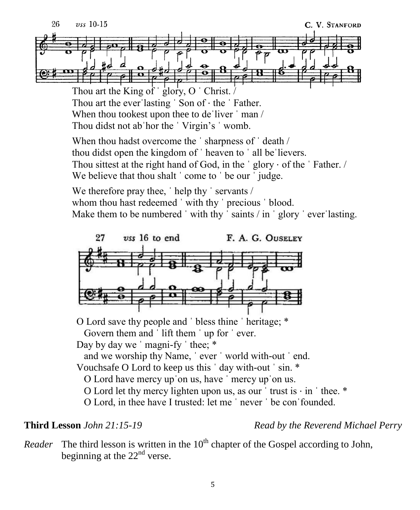Thou art the King of 'glory, O ' Christ. Thou art the everˈlasting ˈ Son of ⋅ the ˈ Father. When thou tookest upon thee to de liver  $\mid$  man / Thou didst not abˈhor the ˈ Virgin's ˈ womb.

When thou hadst overcome the 'sharpness of 'death / thou didst open the kingdom of ˈ heaven to ˈ all beˈlievers. Thou sittest at the right hand of God, in the  $\degree$  glory  $\cdot$  of the  $\degree$  Father. / We believe that thou shalt ' come to ' be our ' judge.

We therefore pray thee, 'help thy ' servants / whom thou hast redeemed 'with thy ' precious ' blood. Make them to be numbered  $\cdot$  with thy  $\cdot$  saints  $\prime$  in  $\cdot$  glory  $\cdot$  ever lasting.



O Lord save thy people and ˈ bless thine ˈ heritage; \* Govern them and 'lift them ' up for ' ever. Day by day we ' magni-fy ' thee;  $*$ and we worship thy Name, ˈ ever ˈ world with-out ˈ end. Vouchsafe O Lord to keep us this ˈ day with-out ˈ sin. \* O Lord have mercy upˈon us, have ˈ mercy upˈon us. O Lord let thy mercy lighten upon us, as our  $'$  trust is  $\cdot$  in  $'$  thee.  $*$ O Lord, in thee have I trusted: let me ˈ never ˈ be conˈfounded.

**Third Lesson** *John 21:15-19 Read by the Reverend Michael Perry*

*Reader* The third lesson is written in the  $10<sup>th</sup>$  chapter of the Gospel according to John, beginning at the  $22<sup>nd</sup>$  verse.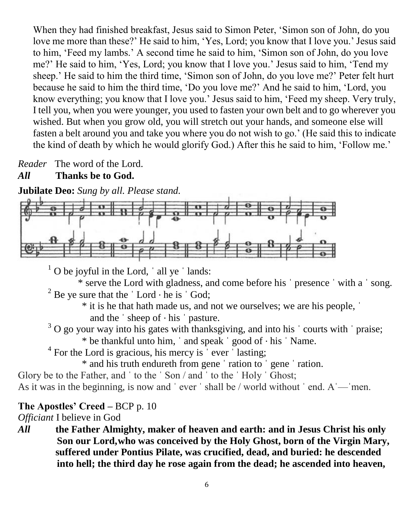When they had finished breakfast, Jesus said to Simon Peter, 'Simon son of John, do you love me more than these?' He said to him, 'Yes, Lord; you know that I love you.' Jesus said to him, 'Feed my lambs.' A second time he said to him, 'Simon son of John, do you love me?' He said to him, 'Yes, Lord; you know that I love you.' Jesus said to him, 'Tend my sheep.' He said to him the third time, 'Simon son of John, do you love me?' Peter felt hurt because he said to him the third time, 'Do you love me?' And he said to him, 'Lord, you know everything; you know that I love you.' Jesus said to him, 'Feed my sheep. Very truly, I tell you, when you were younger, you used to fasten your own belt and to go wherever you wished. But when you grow old, you will stretch out your hands, and someone else will fasten a belt around you and take you where you do not wish to go.' (He said this to indicate the kind of death by which he would glorify God.) After this he said to him, 'Follow me.'

*Reader* The word of the Lord.

# *All* **Thanks be to God.**

**Jubilate Deo:** *Sung by all. Please stand.*



 $1$  O be joyful in the Lord,  $\dot{\ }$  all ye  $\dot{\ }$  lands:

\* serve the Lord with gladness, and come before his ˈ presence ˈ with a ˈ song. <sup>2</sup> Be ye sure that the  $\vert$  Lord  $\cdot$  he is  $\vert$  God;

\* it is he that hath made us, and not we ourselves; we are his people, ˈ

and the  $\dot{\ }$  sheep of  $\cdot$  his  $\dot{\ }$  pasture.

 $3$  O go your way into his gates with thanksgiving, and into his  $\prime$  courts with  $\prime$  praise;

\* be thankful unto him, ˈ and speak ˈ good of ⋅ his ˈ Name.

 $4$  For the Lord is gracious, his mercy is  $\degree$  ever  $\degree$  lasting;

\* and his truth endureth from gene ˈ ration to ˈ gene ˈ ration.

Glory be to the Father, and ' to the ' Son / and ' to the ' Holy ' Ghost;

As it was in the beginning, is now and  $\degree$  ever  $\degree$  shall be / world without  $\degree$  end. A  $\degree$  men.

# **The Apostles' Creed –** BCP p. 10

*Officiant* I believe in God

*All* **the Father Almighty, maker of heaven and earth: and in Jesus Christ his only Son our Lord,who was conceived by the Holy Ghost, born of the Virgin Mary, suffered under Pontius Pilate, was crucified, dead, and buried: he descended into hell; the third day he rose again from the dead; he ascended into heaven,**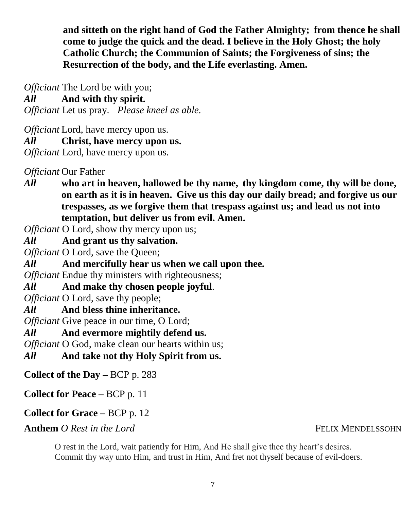**and sitteth on the right hand of God the Father Almighty; from thence he shall come to judge the quick and the dead. I believe in the Holy Ghost; the holy Catholic Church; the Communion of Saints; the Forgiveness of sins; the Resurrection of the body, and the Life everlasting. Amen.**

*Officiant* The Lord be with you;

*All* **And with thy spirit.**

*Officiant* Let us pray. *Please kneel as able.*

*Officiant* Lord, have mercy upon us.

*All* **Christ, have mercy upon us.**

*Officiant* Lord, have mercy upon us.

*Officiant* Our Father

*All* **who art in heaven, hallowed be thy name, thy kingdom come, thy will be done, on earth as it is in heaven. Give us this day our daily bread; and forgive us our trespasses, as we forgive them that trespass against us; and lead us not into temptation, but deliver us from evil. Amen.**

*Officiant* O Lord, show thy mercy upon us;

*All* **And grant us thy salvation.**

*Officiant* O Lord, save the Queen;

*All* **And mercifully hear us when we call upon thee.**

*Officiant* Endue thy ministers with righteousness;

*All* **And make thy chosen people joyful**.

*Officiant* O Lord, save thy people;

*All* **And bless thine inheritance.**

*Officiant* Give peace in our time, O Lord;

*All* **And evermore mightily defend us.**

*Officiant* O God, make clean our hearts within us:

*All* **And take not thy Holy Spirit from us.**

**Collect of the Day –** BCP p. 283

**Collect for Peace –** BCP p. 11

**Collect for Grace –** BCP p. 12

**Anthem** *O Rest in the Lord* **FELIX MENDELSSOHN** 

O rest in the Lord, wait patiently for Him, And He shall give thee thy heart's desires. Commit thy way unto Him, and trust in Him, And fret not thyself because of evil-doers.